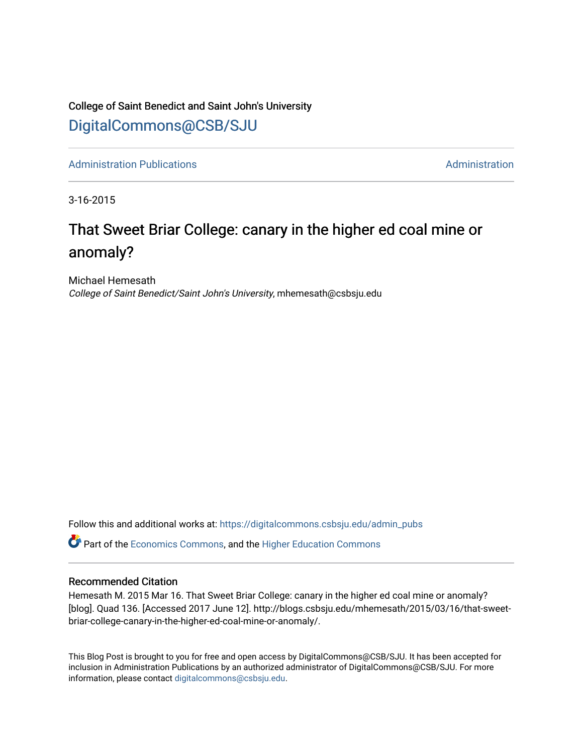## College of Saint Benedict and Saint John's University [DigitalCommons@CSB/SJU](https://digitalcommons.csbsju.edu/)

[Administration Publications](https://digitalcommons.csbsju.edu/admin_pubs) **Administration** Administration

3-16-2015

## That Sweet Briar College: canary in the higher ed coal mine or anomaly?

Michael Hemesath College of Saint Benedict/Saint John's University, mhemesath@csbsju.edu

Follow this and additional works at: [https://digitalcommons.csbsju.edu/admin\\_pubs](https://digitalcommons.csbsju.edu/admin_pubs?utm_source=digitalcommons.csbsju.edu%2Fadmin_pubs%2F140&utm_medium=PDF&utm_campaign=PDFCoverPages)

**P** Part of the [Economics Commons](http://network.bepress.com/hgg/discipline/340?utm_source=digitalcommons.csbsju.edu%2Fadmin_pubs%2F140&utm_medium=PDF&utm_campaign=PDFCoverPages), and the Higher Education Commons

#### Recommended Citation

Hemesath M. 2015 Mar 16. That Sweet Briar College: canary in the higher ed coal mine or anomaly? [blog]. Quad 136. [Accessed 2017 June 12]. http://blogs.csbsju.edu/mhemesath/2015/03/16/that-sweetbriar-college-canary-in-the-higher-ed-coal-mine-or-anomaly/.

This Blog Post is brought to you for free and open access by DigitalCommons@CSB/SJU. It has been accepted for inclusion in Administration Publications by an authorized administrator of DigitalCommons@CSB/SJU. For more information, please contact [digitalcommons@csbsju.edu.](mailto:digitalcommons@csbsju.edu)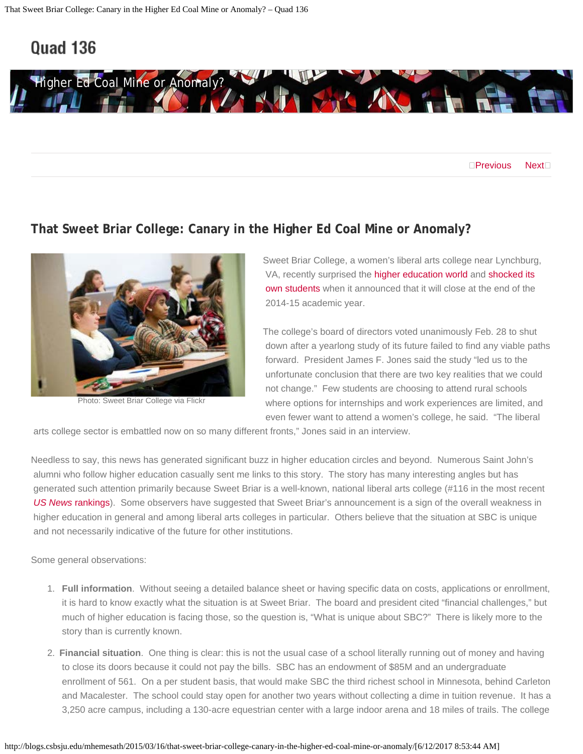# Quad 136



□[Previous](http://blogs.csbsju.edu/mhemesath/2015/03/09/ethics-and-public-relations-a-good-outcome-from-a-bad-source/) [Next](http://blogs.csbsju.edu/mhemesath/2015/03/23/minnesotas-hot/)□

### **That Sweet Briar College: Canary in the Higher Ed Coal Mine or Anomaly?**



Photo: Sweet Briar College via Flickr

Sweet Briar College, a women's liberal arts college near Lynchburg, VA, recently surprised the [higher education world](https://www.insidehighered.com/news/2015/03/04/sweet-briar-college-will-shut-down) and [shocked its](http://www.richmond.com/news/virginia/article_105c880d-25d1-5305-be18-8d5f08c50776.html)  [own students](http://www.richmond.com/news/virginia/article_105c880d-25d1-5305-be18-8d5f08c50776.html) when it announced that it will close at the end of the 2014-15 academic year.

The college's board of directors voted unanimously Feb. 28 to shut down after a yearlong study of its future failed to find any viable paths forward. President James F. Jones said the study "led us to the unfortunate conclusion that there are two key realities that we could not change." Few students are choosing to attend rural schools where options for internships and work experiences are limited, and even fewer want to attend a women's college, he said. "The liberal

arts college sector is embattled now on so many different fronts," Jones said in an interview.

Needless to say, this news has generated significant buzz in higher education circles and beyond. Numerous Saint John's alumni who follow higher education casually sent me links to this story. The story has many interesting angles but has generated such attention primarily because Sweet Briar is a well-known, national liberal arts college (#116 in the most recent *[US News](http://colleges.usnews.rankingsandreviews.com/best-colleges/sweet-briar-college-3742)* [rankings](http://colleges.usnews.rankingsandreviews.com/best-colleges/sweet-briar-college-3742)). Some observers have suggested that Sweet Briar's announcement is a sign of the overall weakness in higher education in general and among liberal arts colleges in particular. Others believe that the situation at SBC is unique and not necessarily indicative of the future for other institutions.

Some general observations:

- 1. **Full information**. Without seeing a detailed balance sheet or having specific data on costs, applications or enrollment, it is hard to know exactly what the situation is at Sweet Briar. The board and president cited "financial challenges," but much of higher education is facing those, so the question is, "What is unique about SBC?" There is likely more to the story than is currently known.
- 2. **Financial situation**. One thing is clear: this is not the usual case of a school literally running out of money and having to close its doors because it could not pay the bills. SBC has an endowment of \$85M and an undergraduate enrollment of 561. On a per student basis, that would make SBC the third richest school in Minnesota, behind Carleton and Macalester. The school could stay open for another two years without collecting a dime in tuition revenue. It has a 3,250 acre campus, including a 130-acre equestrian center with a large indoor arena and 18 miles of trails. The college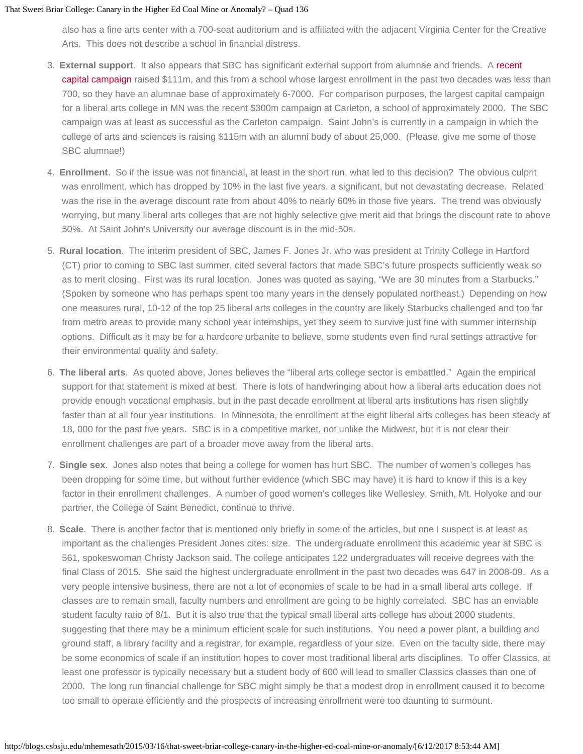also has a fine arts center with a 700-seat auditorium and is affiliated with the adjacent Virginia Center for the Creative Arts. This does not describe a school in financial distress.

- 3. **External support**. It also appears that SBC has significant external support from alumnae and friends. A [recent](http://sbc.edu/news/uncategorized/sweet-briar-president-announces-plans-retire-2009/) [capital campaign](http://sbc.edu/news/uncategorized/sweet-briar-president-announces-plans-retire-2009/) raised \$111m, and this from a school whose largest enrollment in the past two decades was less than 700, so they have an alumnae base of approximately 6-7000. For comparison purposes, the largest capital campaign for a liberal arts college in MN was the recent \$300m campaign at Carleton, a school of approximately 2000. The SBC campaign was at least as successful as the Carleton campaign. Saint John's is currently in a campaign in which the college of arts and sciences is raising \$115m with an alumni body of about 25,000. (Please, give me some of those SBC alumnae!)
- 4. **Enrollment**. So if the issue was not financial, at least in the short run, what led to this decision? The obvious culprit was enrollment, which has dropped by 10% in the last five years, a significant, but not devastating decrease. Related was the rise in the average discount rate from about 40% to nearly 60% in those five years. The trend was obviously worrying, but many liberal arts colleges that are not highly selective give merit aid that brings the discount rate to above 50%. At Saint John's University our average discount is in the mid-50s.
- 5. **Rural location**. The interim president of SBC, James F. Jones Jr. who was president at Trinity College in Hartford (CT) prior to coming to SBC last summer, cited several factors that made SBC's future prospects sufficiently weak so as to merit closing. First was its rural location. Jones was quoted as saying, "We are 30 minutes from a Starbucks." (Spoken by someone who has perhaps spent too many years in the densely populated northeast.) Depending on how one measures rural, 10-12 of the top 25 liberal arts colleges in the country are likely Starbucks challenged and too far from metro areas to provide many school year internships, yet they seem to survive just fine with summer internship options. Difficult as it may be for a hardcore urbanite to believe, some students even find rural settings attractive for their environmental quality and safety.
- 6. **The liberal arts**. As quoted above, Jones believes the "liberal arts college sector is embattled." Again the empirical support for that statement is mixed at best. There is lots of handwringing about how a liberal arts education does not provide enough vocational emphasis, but in the past decade enrollment at liberal arts institutions has risen slightly faster than at all four year institutions. In Minnesota, the enrollment at the eight liberal arts colleges has been steady at 18, 000 for the past five years. SBC is in a competitive market, not unlike the Midwest, but it is not clear their enrollment challenges are part of a broader move away from the liberal arts.
- 7. **Single sex**. Jones also notes that being a college for women has hurt SBC. The number of women's colleges has been dropping for some time, but without further evidence (which SBC may have) it is hard to know if this is a key factor in their enrollment challenges. A number of good women's colleges like Wellesley, Smith, Mt. Holyoke and our partner, the College of Saint Benedict, continue to thrive.
- 8. **Scale**. There is another factor that is mentioned only briefly in some of the articles, but one I suspect is at least as important as the challenges President Jones cites: size. The undergraduate enrollment this academic year at SBC is 561, spokeswoman Christy Jackson said. The college anticipates 122 undergraduates will receive degrees with the final Class of 2015. She said the highest undergraduate enrollment in the past two decades was 647 in 2008-09. As a very people intensive business, there are not a lot of economies of scale to be had in a small liberal arts college. If classes are to remain small, faculty numbers and enrollment are going to be highly correlated. SBC has an enviable student faculty ratio of 8/1. But it is also true that the typical small liberal arts college has about 2000 students, suggesting that there may be a minimum efficient scale for such institutions. You need a power plant, a building and ground staff, a library facility and a registrar, for example, regardless of your size. Even on the faculty side, there may be some economics of scale if an institution hopes to cover most traditional liberal arts disciplines. To offer Classics, at least one professor is typically necessary but a student body of 600 will lead to smaller Classics classes than one of 2000. The long run financial challenge for SBC might simply be that a modest drop in enrollment caused it to become too small to operate efficiently and the prospects of increasing enrollment were too daunting to surmount.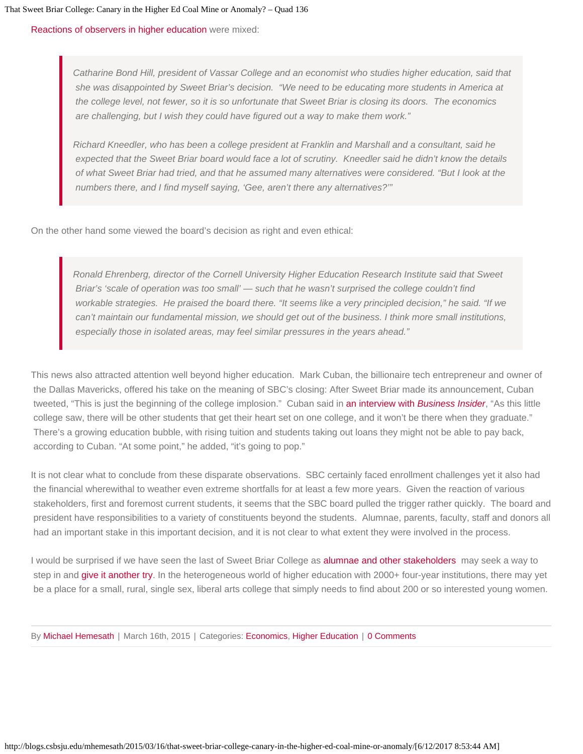[Reactions of observers in higher education](https://www.insidehighered.com/news/2015/03/04/sweet-briar-college-will-shut-down) were mixed:

*Catharine Bond Hill, president of Vassar College and an economist who studies higher education, said that she was disappointed by Sweet Briar's decision. "We need to be educating more students in America at the college level, not fewer, so it is so unfortunate that Sweet Briar is closing its doors. The economics are challenging, but I wish they could have figured out a way to make them work."*

*Richard Kneedler, who has been a college president at Franklin and Marshall and a consultant, said he expected that the Sweet Briar board would face a lot of scrutiny. Kneedler said he didn't know the details of what Sweet Briar had tried, and that he assumed many alternatives were considered. "But I look at the numbers there, and I find myself saying, 'Gee, aren't there any alternatives?'"*

On the other hand some viewed the board's decision as right and even ethical:

*Ronald Ehrenberg, director of the Cornell University Higher Education Research Institute said that Sweet Briar's 'scale of operation was too small' — such that he wasn't surprised the college couldn't find workable strategies. He praised the board there. "It seems like a very principled decision," he said. "If we can't maintain our fundamental mission, we should get out of the business. I think more small institutions,* especially those in isolated areas, may feel similar pressures in the years ahead."

This news also attracted attention well beyond higher education. Mark Cuban, the billionaire tech entrepreneur and owner of the Dallas Mavericks, offered his take on the meaning of SBC's closing: After Sweet Briar made its announcement, Cuban tweeted, "This is just the beginning of the college implosion." Cuban said in [an interview with](http://www.businessinsider.com/mark-cuban-sweet-briar-college-college-debt-bubble-crisis-2015-3#ixzz3Tq8R1FFD) *[Business Insider](http://www.businessinsider.com/mark-cuban-sweet-briar-college-college-debt-bubble-crisis-2015-3#ixzz3Tq8R1FFD)*, "As this little college saw, there will be other students that get their heart set on one college, and it won't be there when they graduate." There's a growing education bubble, with rising tuition and students taking out loans they might not be able to pay back, according to Cuban. "At some point," he added, "it's going to pop."

It is not clear what to conclude from these disparate observations. SBC certainly faced enrollment challenges yet it also had the financial wherewithal to weather even extreme shortfalls for at least a few more years. Given the reaction of various stakeholders, first and foremost current students, it seems that the SBC board pulled the trigger rather quickly. The board and president have responsibilities to a variety of constituents beyond the students. Alumnae, parents, faculty, staff and donors all had an important stake in this important decision, and it is not clear to what extent they were involved in the process.

I would be surprised if we have seen the last of Sweet Briar College as [alumnae and other stakeholders](http://www.businessinsider.com/what-is-going-to-happen-to-sweet-briars-endowment-2015-3) may seek a way to step in and [give it another try](http://www.nytimes.com/aponline/2015/03/04/us/ap-us-sweet-briar-college-closure.html?_r=0). In the heterogeneous world of higher education with 2000+ four-year institutions, there may yet be a place for a small, rural, single sex, liberal arts college that simply needs to find about 200 or so interested young women.

By [Michael Hemesath](http://blogs.csbsju.edu/mhemesath/author/mhemesath/) | March 16th, 2015 | Categories: [Economics](http://blogs.csbsju.edu/mhemesath/category/economics/), [Higher Education](http://blogs.csbsju.edu/mhemesath/category/highered/) | [0 Comments](#page--1-0)